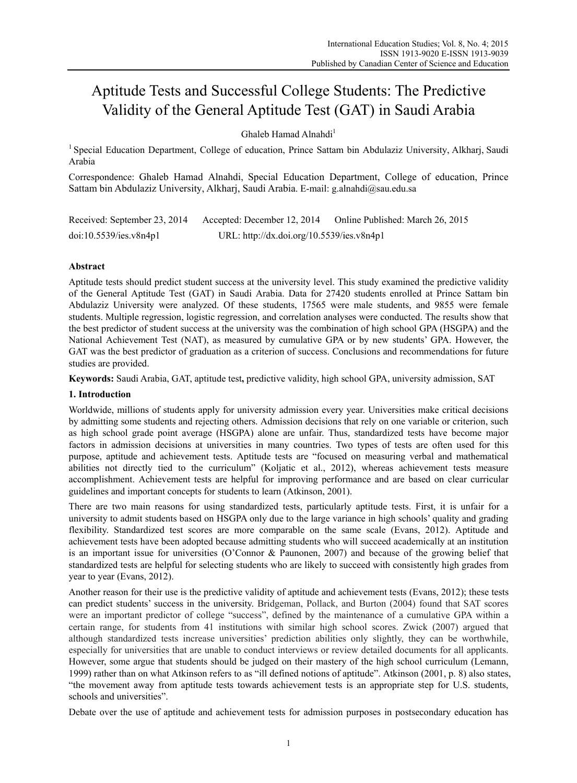# Aptitude Tests and Successful College Students: The Predictive Validity of the General Aptitude Test (GAT) in Saudi Arabia

Ghaleb Hamad Alnahdi<sup>1</sup>

<sup>1</sup> Special Education Department, College of education, Prince Sattam bin Abdulaziz University, Alkharj, Saudi Arabia

Correspondence: Ghaleb Hamad Alnahdi, Special Education Department, College of education, Prince Sattam bin Abdulaziz University, Alkharj, Saudi Arabia. E-mail: g.alnahdi@sau.edu.sa

| Received: September 23, 2014 | Accepted: December 12, 2014               | Online Published: March 26, 2015 |
|------------------------------|-------------------------------------------|----------------------------------|
| doi:10.5539/ies.v8n4p1       | URL: http://dx.doi.org/10.5539/ies.v8n4p1 |                                  |

# **Abstract**

Aptitude tests should predict student success at the university level. This study examined the predictive validity of the General Aptitude Test (GAT) in Saudi Arabia. Data for 27420 students enrolled at Prince Sattam bin Abdulaziz University were analyzed. Of these students, 17565 were male students, and 9855 were female students. Multiple regression, logistic regression, and correlation analyses were conducted. The results show that the best predictor of student success at the university was the combination of high school GPA (HSGPA) and the National Achievement Test (NAT), as measured by cumulative GPA or by new students' GPA. However, the GAT was the best predictor of graduation as a criterion of success. Conclusions and recommendations for future studies are provided.

**Keywords:** Saudi Arabia, GAT, aptitude test**,** predictive validity, high school GPA, university admission, SAT

# **1. Introduction**

Worldwide, millions of students apply for university admission every year. Universities make critical decisions by admitting some students and rejecting others. Admission decisions that rely on one variable or criterion, such as high school grade point average (HSGPA) alone are unfair. Thus, standardized tests have become major factors in admission decisions at universities in many countries. Two types of tests are often used for this purpose, aptitude and achievement tests. Aptitude tests are "focused on measuring verbal and mathematical abilities not directly tied to the curriculum" (Koljatic et al., 2012), whereas achievement tests measure accomplishment. Achievement tests are helpful for improving performance and are based on clear curricular guidelines and important concepts for students to learn (Atkinson, 2001).

There are two main reasons for using standardized tests, particularly aptitude tests. First, it is unfair for a university to admit students based on HSGPA only due to the large variance in high schools' quality and grading flexibility. Standardized test scores are more comparable on the same scale (Evans, 2012). Aptitude and achievement tests have been adopted because admitting students who will succeed academically at an institution is an important issue for universities (O'Connor & Paunonen, 2007) and because of the growing belief that standardized tests are helpful for selecting students who are likely to succeed with consistently high grades from year to year (Evans, 2012).

Another reason for their use is the predictive validity of aptitude and achievement tests (Evans, 2012); these tests can predict students' success in the university. Bridgeman, Pollack, and Burton (2004) found that SAT scores were an important predictor of college "success", defined by the maintenance of a cumulative GPA within a certain range, for students from 41 institutions with similar high school scores. Zwick (2007) argued that although standardized tests increase universities' prediction abilities only slightly, they can be worthwhile, especially for universities that are unable to conduct interviews or review detailed documents for all applicants. However, some argue that students should be judged on their mastery of the high school curriculum (Lemann, 1999) rather than on what Atkinson refers to as "ill defined notions of aptitude". Atkinson (2001, p. 8) also states, "the movement away from aptitude tests towards achievement tests is an appropriate step for U.S. students, schools and universities".

Debate over the use of aptitude and achievement tests for admission purposes in postsecondary education has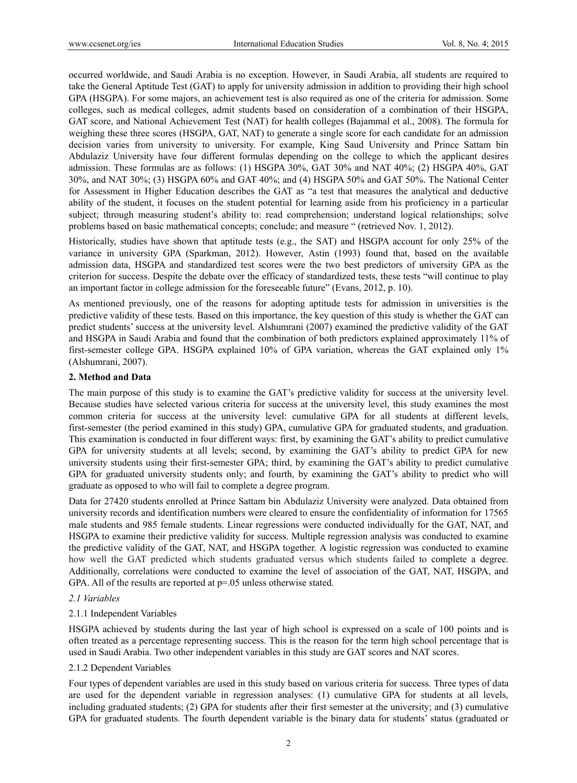occurred worldwide, and Saudi Arabia is no exception. However, in Saudi Arabia, all students are required to take the General Aptitude Test (GAT) to apply for university admission in addition to providing their high school GPA (HSGPA). For some majors, an achievement test is also required as one of the criteria for admission. Some colleges, such as medical colleges, admit students based on consideration of a combination of their HSGPA, GAT score, and National Achievement Test (NAT) for health colleges (Bajammal et al., 2008). The formula for weighing these three scores (HSGPA, GAT, NAT) to generate a single score for each candidate for an admission decision varies from university to university. For example, King Saud University and Prince Sattam bin Abdulaziz University have four different formulas depending on the college to which the applicant desires admission. These formulas are as follows: (1) HSGPA 30%, GAT 30% and NAT 40%; (2) HSGPA 40%, GAT 30%, and NAT 30%; (3) HSGPA 60% and GAT 40%; and (4) HSGPA 50% and GAT 50%. The National Center for Assessment in Higher Education describes the GAT as "a test that measures the analytical and deductive ability of the student, it focuses on the student potential for learning aside from his proficiency in a particular subject; through measuring student's ability to: read comprehension; understand logical relationships; solve problems based on basic mathematical concepts; conclude; and measure " (retrieved Nov. 1, 2012).

Historically, studies have shown that aptitude tests (e.g., the SAT) and HSGPA account for only 25% of the variance in university GPA (Sparkman, 2012). However, Astin (1993) found that, based on the available admission data, HSGPA and standardized test scores were the two best predictors of university GPA as the criterion for success. Despite the debate over the efficacy of standardized tests, these tests "will continue to play an important factor in college admission for the foreseeable future" (Evans, 2012, p. 10).

As mentioned previously, one of the reasons for adopting aptitude tests for admission in universities is the predictive validity of these tests. Based on this importance, the key question of this study is whether the GAT can predict students' success at the university level. Alshumrani (2007) examined the predictive validity of the GAT and HSGPA in Saudi Arabia and found that the combination of both predictors explained approximately 11% of first-semester college GPA. HSGPA explained 10% of GPA variation, whereas the GAT explained only 1% (Alshumrani, 2007).

## **2. Method and Data**

The main purpose of this study is to examine the GAT's predictive validity for success at the university level. Because studies have selected various criteria for success at the university level, this study examines the most common criteria for success at the university level: cumulative GPA for all students at different levels, first-semester (the period examined in this study) GPA, cumulative GPA for graduated students, and graduation. This examination is conducted in four different ways: first, by examining the GAT's ability to predict cumulative GPA for university students at all levels; second, by examining the GAT's ability to predict GPA for new university students using their first-semester GPA; third, by examining the GAT's ability to predict cumulative GPA for graduated university students only; and fourth, by examining the GAT's ability to predict who will graduate as opposed to who will fail to complete a degree program.

Data for 27420 students enrolled at Prince Sattam bin Abdulaziz University were analyzed. Data obtained from university records and identification numbers were cleared to ensure the confidentiality of information for 17565 male students and 985 female students. Linear regressions were conducted individually for the GAT, NAT, and HSGPA to examine their predictive validity for success. Multiple regression analysis was conducted to examine the predictive validity of the GAT, NAT, and HSGPA together. A logistic regression was conducted to examine how well the GAT predicted which students graduated versus which students failed to complete a degree. Additionally, correlations were conducted to examine the level of association of the GAT, NAT, HSGPA, and GPA. All of the results are reported at  $p=0.05$  unless otherwise stated.

## *2.1 Variables*

# 2.1.1 Independent Variables

HSGPA achieved by students during the last year of high school is expressed on a scale of 100 points and is often treated as a percentage representing success. This is the reason for the term high school percentage that is used in Saudi Arabia. Two other independent variables in this study are GAT scores and NAT scores.

## 2.1.2 Dependent Variables

Four types of dependent variables are used in this study based on various criteria for success. Three types of data are used for the dependent variable in regression analyses: (1) cumulative GPA for students at all levels, including graduated students; (2) GPA for students after their first semester at the university; and (3) cumulative GPA for graduated students. The fourth dependent variable is the binary data for students' status (graduated or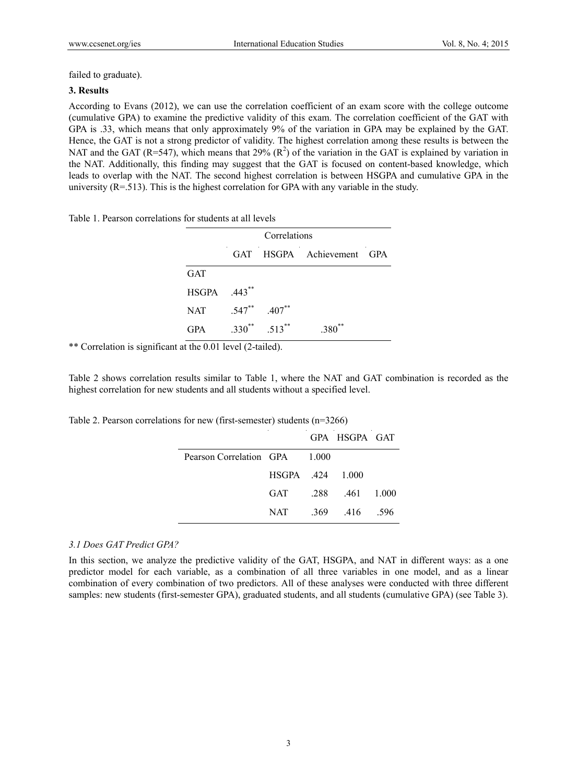failed to graduate).

#### **3. Results**

According to Evans (2012), we can use the correlation coefficient of an exam score with the college outcome (cumulative GPA) to examine the predictive validity of this exam. The correlation coefficient of the GAT with GPA is .33, which means that only approximately 9% of the variation in GPA may be explained by the GAT. Hence, the GAT is not a strong predictor of validity. The highest correlation among these results is between the NAT and the GAT (R=547), which means that 29%  $(R^2)$  of the variation in the GAT is explained by variation in the NAT. Additionally, this finding may suggest that the GAT is focused on content-based knowledge, which leads to overlap with the NAT. The second highest correlation is between HSGPA and cumulative GPA in the university  $(R=513)$ . This is the highest correlation for GPA with any variable in the study.

Table 1. Pearson correlations for students at all levels

| Correlations |             |                     |                           |  |
|--------------|-------------|---------------------|---------------------------|--|
|              |             |                     | GAT HSGPA Achievement GPA |  |
| <b>GAT</b>   |             |                     |                           |  |
| HSGPA .443** |             |                     |                           |  |
| <b>NAT</b>   |             | $.547$ ** $.407$ ** |                           |  |
| <b>GPA</b>   | $.330^{**}$ | $.513***$           | **<br>.380 <sup>°</sup>   |  |

\*\* Correlation is significant at the 0.01 level (2-tailed).

Table 2 shows correlation results similar to Table 1, where the NAT and GAT combination is recorded as the highest correlation for new students and all students without a specified level.

Table 2. Pearson correlations for new (first-semester) students (n=3266)

|                               |                  | GPA HSGPA GAT         |       |
|-------------------------------|------------------|-----------------------|-------|
| Pearson Correlation GPA 1.000 |                  |                       |       |
|                               | HSGPA .424 1.000 |                       |       |
|                               | GAT              | $.288$ $.461$ $1.000$ |       |
|                               | NAT              | 369 416               | - 596 |

#### *3.1 Does GAT Predict GPA?*

In this section, we analyze the predictive validity of the GAT, HSGPA, and NAT in different ways: as a one predictor model for each variable, as a combination of all three variables in one model, and as a linear combination of every combination of two predictors. All of these analyses were conducted with three different samples: new students (first-semester GPA), graduated students, and all students (cumulative GPA) (see Table 3).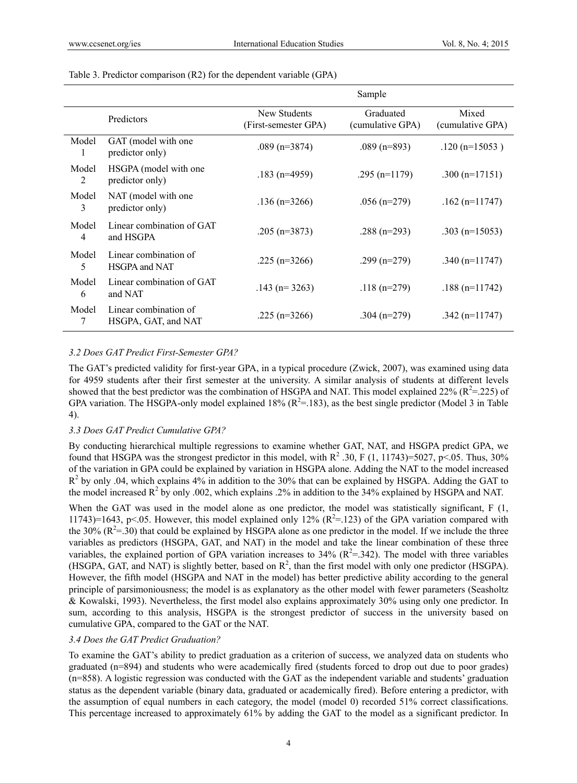|                       |                                              |                                      | Sample                        |                           |
|-----------------------|----------------------------------------------|--------------------------------------|-------------------------------|---------------------------|
|                       | Predictors                                   | New Students<br>(First-semester GPA) | Graduated<br>(cumulative GPA) | Mixed<br>(cumulative GPA) |
| Model<br><sup>1</sup> | GAT (model with one<br>predictor only)       | $.089$ (n=3874)                      | $.089$ (n=893)                | $.120$ (n=15053)          |
| Model<br>2            | HSGPA (model with one<br>predictor only)     | $.183$ (n=4959)                      | .295 $(n=1179)$               | .300 $(n=17151)$          |
| Model<br>3            | NAT (model with one<br>predictor only)       | $.136$ (n=3266)                      | $.056$ (n=279)                | .162 (n= $11747$ )        |
| Model<br>4            | Linear combination of GAT<br>and HSGPA       | .205 (n=3873)                        | .288 $(n=293)$                | .303 ( $n=15053$ )        |
| Model<br>5            | Linear combination of<br>HSGPA and NAT       | .225 ( $n=3266$ )                    | .299 $(n=279)$                | .340 $(n=11747)$          |
| Model<br>6            | Linear combination of GAT<br>and NAT         | $.143$ (n= 3263)                     | .118 $(n=279)$                | $.188$ (n=11742)          |
| Model<br>7            | Linear combination of<br>HSGPA, GAT, and NAT | .225 ( $n=3266$ )                    | .304 $(n=279)$                | .342 $(n=11747)$          |

#### Table 3. Predictor comparison (R2) for the dependent variable (GPA)

#### *3.2 Does GAT Predict First-Semester GPA?*

The GAT's predicted validity for first-year GPA, in a typical procedure (Zwick, 2007), was examined using data for 4959 students after their first semester at the university. A similar analysis of students at different levels showed that the best predictor was the combination of HSGPA and NAT. This model explained 22% ( $R^2$ =.225) of GPA variation. The HSGPA-only model explained 18% ( $R^2$ =.183), as the best single predictor (Model 3 in Table 4).

#### *3.3 Does GAT Predict Cumulative GPA?*

By conducting hierarchical multiple regressions to examine whether GAT, NAT, and HSGPA predict GPA, we found that HSGPA was the strongest predictor in this model, with  $R^2$  .30, F (1, 11743)=5027, p<.05. Thus, 30% of the variation in GPA could be explained by variation in HSGPA alone. Adding the NAT to the model increased  $R<sup>2</sup>$  by only .04, which explains 4% in addition to the 30% that can be explained by HSGPA. Adding the GAT to the model increased  $R^2$  by only .002, which explains .2% in addition to the 34% explained by HSGPA and NAT.

When the GAT was used in the model alone as one predictor, the model was statistically significant, F (1, 11743)=1643, p<.05. However, this model explained only 12% ( $R^2$ =.123) of the GPA variation compared with the 30%  $(R^2 = .30)$  that could be explained by HSGPA alone as one predictor in the model. If we include the three variables as predictors (HSGPA, GAT, and NAT) in the model and take the linear combination of these three variables, the explained portion of GPA variation increases to 34%  $(R^2 = .342)$ . The model with three variables (HSGPA, GAT, and NAT) is slightly better, based on  $\mathbb{R}^2$ , than the first model with only one predictor (HSGPA). However, the fifth model (HSGPA and NAT in the model) has better predictive ability according to the general principle of parsimoniousness; the model is as explanatory as the other model with fewer parameters (Seasholtz & Kowalski, 1993). Nevertheless, the first model also explains approximately 30% using only one predictor. In sum, according to this analysis, HSGPA is the strongest predictor of success in the university based on cumulative GPA, compared to the GAT or the NAT.

# *3.4 Does the GAT Predict Graduation?*

To examine the GAT's ability to predict graduation as a criterion of success, we analyzed data on students who graduated (n=894) and students who were academically fired (students forced to drop out due to poor grades) (n=858). A logistic regression was conducted with the GAT as the independent variable and students' graduation status as the dependent variable (binary data, graduated or academically fired). Before entering a predictor, with the assumption of equal numbers in each category, the model (model 0) recorded 51% correct classifications. This percentage increased to approximately 61% by adding the GAT to the model as a significant predictor. In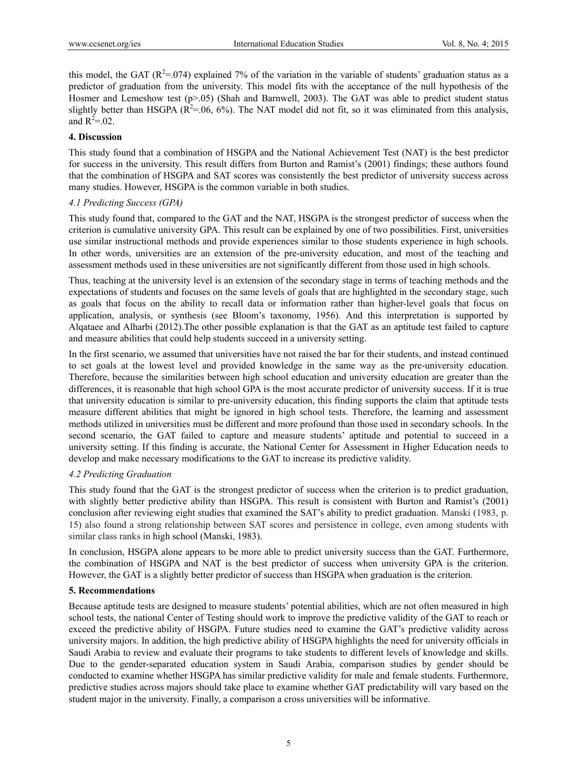this model, the GAT ( $R^2 = 0.074$ ) explained 7% of the variation in the variable of students' graduation status as a predictor of graduation from the university. This model fits with the acceptance of the null hypothesis of the Hosmer and Lemeshow test (p>.05) (Shah and Barnwell, 2003). The GAT was able to predict student status slightly better than HSGPA ( $R^2 = 0.06$ ,  $6\%$ ). The NAT model did not fit, so it was eliminated from this analysis, and  $R^2 = .02$ .

## **4. Discussion**

This study found that a combination of HSGPA and the National Achievement Test (NAT) is the best predictor for success in the university. This result differs from Burton and Ramist's (2001) findings; these authors found that the combination of HSGPA and SAT scores was consistently the best predictor of university success across many studies. However, HSGPA is the common variable in both studies.

# *4.1 Predicting Success (GPA)*

This study found that, compared to the GAT and the NAT, HSGPA is the strongest predictor of success when the criterion is cumulative university GPA. This result can be explained by one of two possibilities. First, universities use similar instructional methods and provide experiences similar to those students experience in high schools. In other words, universities are an extension of the pre-university education, and most of the teaching and assessment methods used in these universities are not significantly different from those used in high schools.

Thus, teaching at the university level is an extension of the secondary stage in terms of teaching methods and the expectations of students and focuses on the same levels of goals that are highlighted in the secondary stage, such as goals that focus on the ability to recall data or information rather than higher-level goals that focus on application, analysis, or synthesis (see Bloom's taxonomy, 1956). And this interpretation is supported by Alqataee and Alharbi (2012).The other possible explanation is that the GAT as an aptitude test failed to capture and measure abilities that could help students succeed in a university setting.

In the first scenario, we assumed that universities have not raised the bar for their students, and instead continued to set goals at the lowest level and provided knowledge in the same way as the pre-university education. Therefore, because the similarities between high school education and university education are greater than the differences, it is reasonable that high school GPA is the most accurate predictor of university success. If it is true that university education is similar to pre-university education, this finding supports the claim that aptitude tests measure different abilities that might be ignored in high school tests. Therefore, the learning and assessment methods utilized in universities must be different and more profound than those used in secondary schools. In the second scenario, the GAT failed to capture and measure students' aptitude and potential to succeed in a university setting. If this finding is accurate, the National Center for Assessment in Higher Education needs to develop and make necessary modifications to the GAT to increase its predictive validity.

# *4.2 Predicting Graduation*

This study found that the GAT is the strongest predictor of success when the criterion is to predict graduation, with slightly better predictive ability than HSGPA. This result is consistent with Burton and Ramist's (2001) conclusion after reviewing eight studies that examined the SAT's ability to predict graduation. Manski (1983, p. 15) also found a strong relationship between SAT scores and persistence in college, even among students with similar class ranks in high school (Manski, 1983).

In conclusion, HSGPA alone appears to be more able to predict university success than the GAT. Furthermore, the combination of HSGPA and NAT is the best predictor of success when university GPA is the criterion. However, the GAT is a slightly better predictor of success than HSGPA when graduation is the criterion.

## **5. Recommendations**

Because aptitude tests are designed to measure students' potential abilities, which are not often measured in high school tests, the national Center of Testing should work to improve the predictive validity of the GAT to reach or exceed the predictive ability of HSGPA. Future studies need to examine the GAT's predictive validity across university majors. In addition, the high predictive ability of HSGPA highlights the need for university officials in Saudi Arabia to review and evaluate their programs to take students to different levels of knowledge and skills. Due to the gender-separated education system in Saudi Arabia, comparison studies by gender should be conducted to examine whether HSGPA has similar predictive validity for male and female students. Furthermore, predictive studies across majors should take place to examine whether GAT predictability will vary based on the student major in the university. Finally, a comparison a cross universities will be informative.